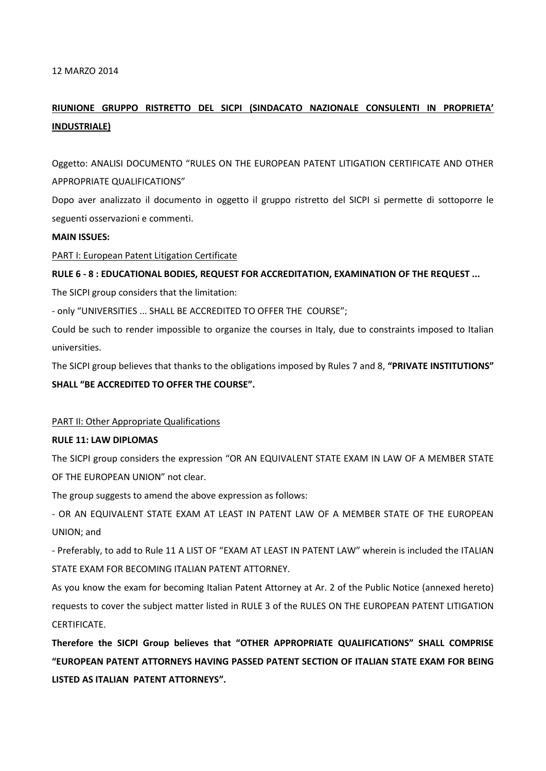#### 12 MARZO 2014

# **RIUNIONE GRUPPO RISTRETTO DEL SICPI (SINDACATO NAZIONALE CONSULENTI IN PROPRIETA' INDUSTRIALE)**

Oggetto: ANALISI DOCUMENTO "RULES ON THE EUROPEAN PATENT LITIGATION CERTIFICATE AND OTHER APPROPRIATE QUALIFICATIONS"

Dopo aver analizzato il documento in oggetto il gruppo ristretto del SICPI si permette di sottoporre le seguenti osservazioni e commenti.

#### **MAIN ISSUES:**

PART I: European Patent Litigation Certificate

# **RULE 6 - 8 : EDUCATIONAL BODIES, REQUEST FOR ACCREDITATION, EXAMINATION OF THE REQUEST ...**

The SICPI group considers that the limitation:

- only "UNIVERSITIES ... SHALL BE ACCREDITED TO OFFER THE COURSE";

Could be such to render impossible to organize the courses in Italy, due to constraints imposed to Italian universities.

The SICPI group believes that thanks to the obligations imposed by Rules 7 and 8, **"PRIVATE INSTITUTIONS" SHALL "BE ACCREDITED TO OFFER THE COURSE".**

## PART II: Other Appropriate Qualifications

## **RULE 11: LAW DIPLOMAS**

The SICPI group considers the expression "OR AN EQUIVALENT STATE EXAM IN LAW OF A MEMBER STATE OF THE EUROPEAN UNION" not clear.

The group suggests to amend the above expression as follows:

- OR AN EQUIVALENT STATE EXAM AT LEAST IN PATENT LAW OF A MEMBER STATE OF THE EUROPEAN UNION; and

- Preferably, to add to Rule 11 A LIST OF "EXAM AT LEAST IN PATENT LAW" wherein is included the ITALIAN STATE EXAM FOR BECOMING ITALIAN PATENT ATTORNEY.

As you know the exam for becoming Italian Patent Attorney at Ar. 2 of the Public Notice (annexed hereto) requests to cover the subject matter listed in RULE 3 of the RULES ON THE EUROPEAN PATENT LITIGATION CERTIFICATE.

**Therefore the SICPI Group believes that "OTHER APPROPRIATE QUALIFICATIONS" SHALL COMPRISE "EUROPEAN PATENT ATTORNEYS HAVING PASSED PATENT SECTION OF ITALIAN STATE EXAM FOR BEING LISTED AS ITALIAN PATENT ATTORNEYS".**